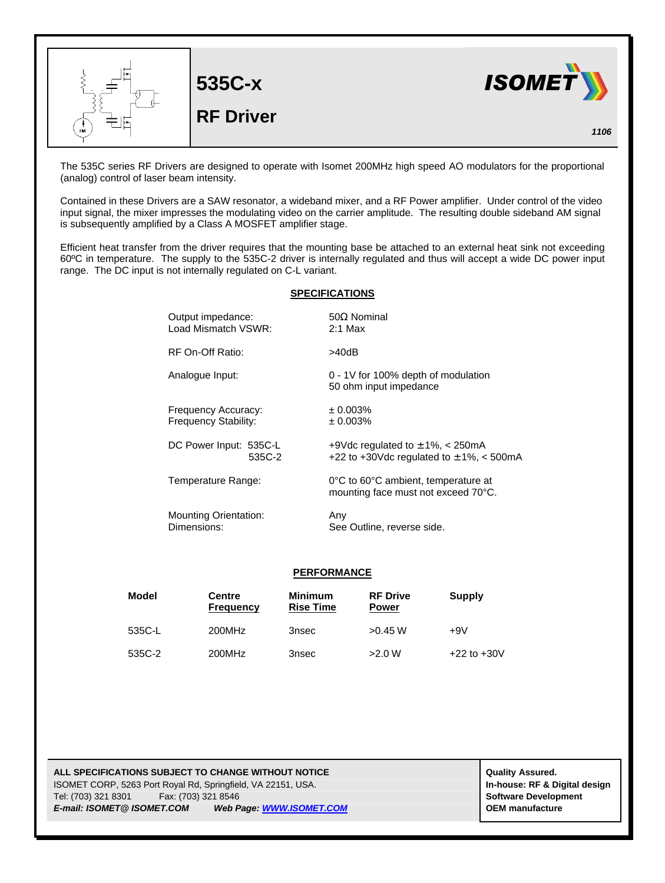

The 535C series RF Drivers are designed to operate with Isomet 200MHz high speed AO modulators for the proportional (analog) control of laser beam intensity.

Contained in these Drivers are a SAW resonator, a wideband mixer, and a RF Power amplifier. Under control of the video input signal, the mixer impresses the modulating video on the carrier amplitude. The resulting double sideband AM signal is subsequently amplified by a Class A MOSFET amplifier stage.

Efficient heat transfer from the driver requires that the mounting base be attached to an external heat sink not exceeding 60ºC in temperature. The supply to the 535C-2 driver is internally regulated and thus will accept a wide DC power input range. The DC input is not internally regulated on C-L variant.

## **SPECIFICATIONS**

| Output impedance:            | $50\Omega$ Nominal                                                         |
|------------------------------|----------------------------------------------------------------------------|
| Load Mismatch VSWR:          | $2:1$ Max                                                                  |
| RF On-Off Ratio:             | >40dB                                                                      |
| Analogue Input:              | 0 - 1V for 100% depth of modulation<br>50 ohm input impedance              |
| Frequency Accuracy:          | ± 0.003%                                                                   |
| Frequency Stability:         | ± 0.003%                                                                   |
| DC Power Input: 535C-L       | +9Vdc regulated to $\pm$ 1%, $\lt$ 250mA                                   |
| 535C-2                       | +22 to +30Vdc regulated to $\pm$ 1%, < 500mA                               |
| Temperature Range:           | 0°C to 60°C ambient, temperature at<br>mounting face must not exceed 70°C. |
| <b>Mounting Orientation:</b> | Any                                                                        |
| Dimensions:                  | See Outline, reverse side.                                                 |

## **PERFORMANCE**

| Model  | <b>Centre</b><br><b>Frequency</b> | <b>Minimum</b><br><b>Rise Time</b> | <b>RF Drive</b><br><b>Power</b> | <b>Supply</b>   |
|--------|-----------------------------------|------------------------------------|---------------------------------|-----------------|
| 535C-L | 200MHz                            | 3nsec                              | $>0.45$ W                       | +9V             |
| 535C-2 | 200MHz                            | 3nsec                              | >2.0 W                          | $+22$ to $+30V$ |

**ALL SPECIFICATIONS SUBJECT TO CHANGE WITHOUT NOTICE And CONTACT ASSURANT CONTRACT ASSURED.** ISOMET CORP, 5263 Port Royal Rd, Springfield, VA 22151, USA. **In-house: RF & Digital design** Tel: (703) 321 8301 Fax: (703) 321 8546 **Software Development** *E-mail: ISOMET@ ISOMET.COM Web Page: WWW.ISOMET.COM* **OEM manufacture**